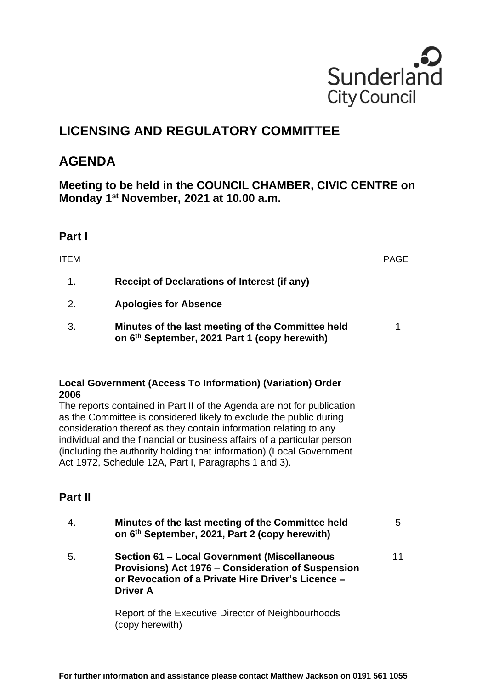

# **LICENSING AND REGULATORY COMMITTEE**

## **AGENDA**

**Meeting to be held in the COUNCIL CHAMBER, CIVIC CENTRE on Monday 1 st November, 2021 at 10.00 a.m.**

#### **Part I**

| ITEM |                                                                                                                | <b>PAGE</b> |
|------|----------------------------------------------------------------------------------------------------------------|-------------|
| 1.   | Receipt of Declarations of Interest (if any)                                                                   |             |
| 2.   | <b>Apologies for Absence</b>                                                                                   |             |
| 3.   | Minutes of the last meeting of the Committee held<br>on 6 <sup>th</sup> September, 2021 Part 1 (copy herewith) | 1           |

#### **Local Government (Access To Information) (Variation) Order 2006**

The reports contained in Part II of the Agenda are not for publication as the Committee is considered likely to exclude the public during consideration thereof as they contain information relating to any individual and the financial or business affairs of a particular person (including the authority holding that information) (Local Government Act 1972, Schedule 12A, Part I, Paragraphs 1 and 3).

### **Part II**

|    | Minutes of the last meeting of the Committee held<br>on 6th September, 2021, Part 2 (copy herewith)                                                                         | 5  |
|----|-----------------------------------------------------------------------------------------------------------------------------------------------------------------------------|----|
| 5. | Section 61 - Local Government (Miscellaneous<br>Provisions) Act 1976 - Consideration of Suspension<br>or Revocation of a Private Hire Driver's Licence -<br><b>Driver A</b> | 11 |
|    | Report of the Executive Director of Neighbourhoods<br>(copy herewith)                                                                                                       |    |